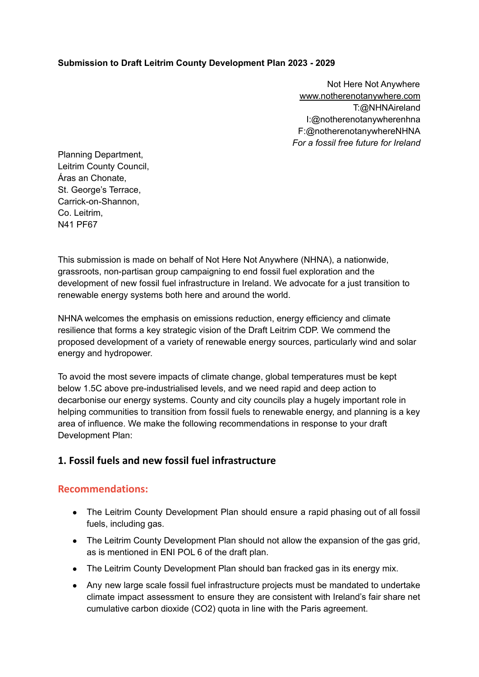#### **Submission to Draft Leitrim County Development Plan 2023 - 2029**

Not Here Not Anywhere [www.notherenotanywhere.com](http://www.notherenotanywhere.com) T:@NHNAireland I:@notherenotanywherenhna F:@notherenotanywhereNHNA *For a fossil free future for Ireland*

Planning Department, Leitrim County Council, Áras an Chonate, St. George's Terrace, Carrick-on-Shannon, Co. Leitrim, N41 PF67

This submission is made on behalf of Not Here Not Anywhere (NHNA), a nationwide, grassroots, non-partisan group campaigning to end fossil fuel exploration and the development of new fossil fuel infrastructure in Ireland. We advocate for a just transition to renewable energy systems both here and around the world.

NHNA welcomes the emphasis on emissions reduction, energy efficiency and climate resilience that forms a key strategic vision of the Draft Leitrim CDP. We commend the proposed development of a variety of renewable energy sources, particularly wind and solar energy and hydropower.

To avoid the most severe impacts of climate change, global temperatures must be kept below 1.5C above pre-industrialised levels, and we need rapid and deep action to decarbonise our energy systems. County and city councils play a hugely important role in helping communities to transition from fossil fuels to renewable energy, and planning is a key area of influence. We make the following recommendations in response to your draft Development Plan:

## **1. Fossil fuels and new fossil fuel infrastructure**

## **Recommendations:**

- The Leitrim County Development Plan should ensure a rapid phasing out of all fossil fuels, including gas.
- The Leitrim County Development Plan should not allow the expansion of the gas grid, as is mentioned in ENI POL 6 of the draft plan.
- The Leitrim County Development Plan should ban fracked gas in its energy mix.
- Any new large scale fossil fuel infrastructure projects must be mandated to undertake climate impact assessment to ensure they are consistent with Ireland's fair share net cumulative carbon dioxide (CO2) quota in line with the Paris agreement.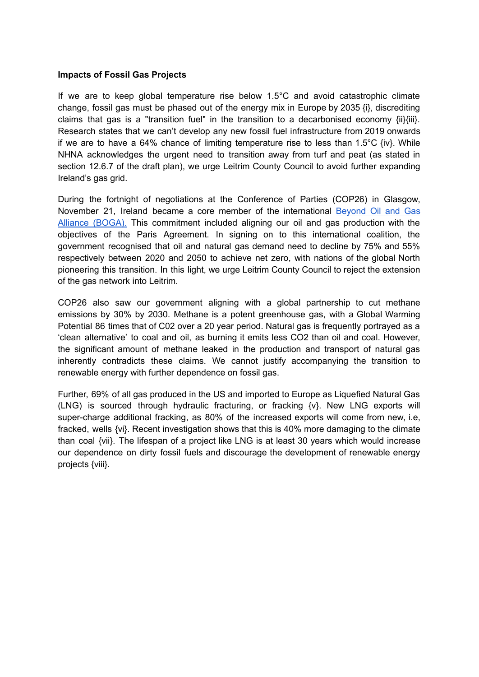#### **Impacts of Fossil Gas Projects**

If we are to keep global temperature rise below 1.5°C and avoid catastrophic climate change, fossil gas must be phased out of the energy mix in Europe by 2035 {i}, discrediting claims that gas is a "transition fuel" in the transition to a decarbonised economy {ii}{iii}. Research states that we can't develop any new fossil fuel infrastructure from 2019 onwards if we are to have a 64% chance of limiting temperature rise to less than 1.5°C  $\{iv\}$ . While NHNA acknowledges the urgent need to transition away from turf and peat (as stated in section 12.6.7 of the draft plan), we urge Leitrim County Council to avoid further expanding Ireland's gas grid.

During the fortnight of negotiations at the Conference of Parties (COP26) in Glasgow, November 21, Ireland became a core member of the international [Beyond](https://beyondoilandgasalliance.com/who-we-are/#:~:text=The%20Beyond%20Oil%20and%20Gas%20Alliance%20%28BOGA%29%20is,the%20managed%20phase-out%20of%20oil%20and%20gas%20production.) Oil and Gas Alliance [\(BOGA\).](https://beyondoilandgasalliance.com/who-we-are/#:~:text=The%20Beyond%20Oil%20and%20Gas%20Alliance%20%28BOGA%29%20is,the%20managed%20phase-out%20of%20oil%20and%20gas%20production.) This commitment included aligning our oil and gas production with the objectives of the Paris Agreement. In signing on to this international coalition, the government recognised that oil and natural gas demand need to decline by 75% and 55% respectively between 2020 and 2050 to achieve net zero, with nations of the global North pioneering this transition. In this light, we urge Leitrim County Council to reject the extension of the gas network into Leitrim.

COP26 also saw our government aligning with a global partnership to cut methane emissions by 30% by 2030. Methane is a potent greenhouse gas, with a Global Warming Potential 86 times that of C02 over a 20 year period. Natural gas is frequently portrayed as a 'clean alternative' to coal and oil, as burning it emits less CO2 than oil and coal. However, the significant amount of methane leaked in the production and transport of natural gas inherently contradicts these claims. We cannot justify accompanying the transition to renewable energy with further dependence on fossil gas.

Further, 69% of all gas produced in the US and imported to Europe as Liquefied Natural Gas (LNG) is sourced through hydraulic fracturing, or fracking {v}. New LNG exports will super-charge additional fracking, as 80% of the increased exports will come from new, i.e, fracked, wells {vi}. Recent investigation shows that this is 40% more damaging to the climate than coal {vii}. The lifespan of a project like LNG is at least 30 years which would increase our dependence on dirty fossil fuels and discourage the development of renewable energy projects {viii}.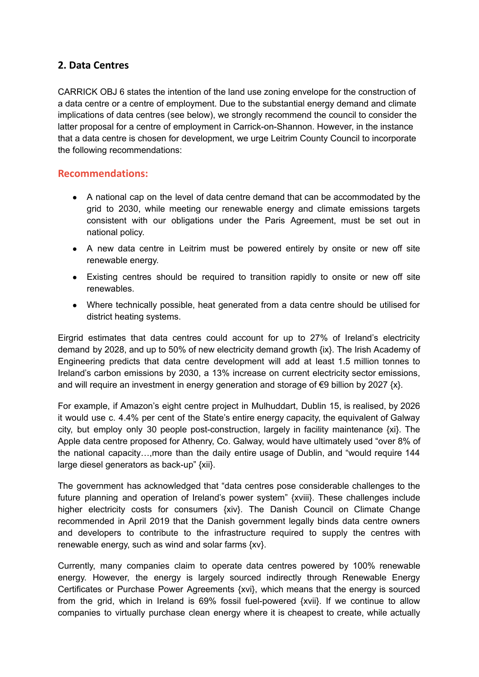## **2. Data Centres**

CARRICK OBJ 6 states the intention of the land use zoning envelope for the construction of a data centre or a centre of employment. Due to the substantial energy demand and climate implications of data centres (see below), we strongly recommend the council to consider the latter proposal for a centre of employment in Carrick-on-Shannon. However, in the instance that a data centre is chosen for development, we urge Leitrim County Council to incorporate the following recommendations:

## **Recommendations:**

- A national cap on the level of data centre demand that can be accommodated by the grid to 2030, while meeting our renewable energy and climate emissions targets consistent with our obligations under the Paris Agreement, must be set out in national policy.
- A new data centre in Leitrim must be powered entirely by onsite or new off site renewable energy.
- Existing centres should be required to transition rapidly to onsite or new off site renewables.
- Where technically possible, heat generated from a data centre should be utilised for district heating systems.

Eirgrid estimates that data centres could account for up to 27% of Ireland's electricity demand by 2028, and up to 50% of new electricity demand growth {ix}. The Irish Academy of Engineering predicts that data centre development will add at least 1.5 million tonnes to Ireland's carbon emissions by 2030, a 13% increase on current electricity sector emissions, and will require an investment in energy generation and storage of  $\epsilon$ 9 billion by 2027  $\{x\}$ .

For example, if Amazon's eight centre project in Mulhuddart, Dublin 15, is realised, by 2026 it would use c. 4.4% per cent of the State's entire energy capacity, the equivalent of Galway city, but employ only 30 people post-construction, largely in facility maintenance {xi}. The Apple data centre proposed for Athenry, Co. Galway, would have ultimately used "over 8% of the national capacity…,more than the daily entire usage of Dublin, and "would require 144 large diesel generators as back-up" {xii}.

The government has acknowledged that "data centres pose considerable challenges to the future planning and operation of Ireland's power system" {xviii}. These challenges include higher electricity costs for consumers {xiv}. The Danish Council on Climate Change recommended in April 2019 that the Danish government legally binds data centre owners and developers to contribute to the infrastructure required to supply the centres with renewable energy, such as wind and solar farms {xv}.

Currently, many companies claim to operate data centres powered by 100% renewable energy. However, the energy is largely sourced indirectly through Renewable Energy Certificates or Purchase Power Agreements {xvi}, which means that the energy is sourced from the grid, which in Ireland is 69% fossil fuel-powered {xvii}. If we continue to allow companies to virtually purchase clean energy where it is cheapest to create, while actually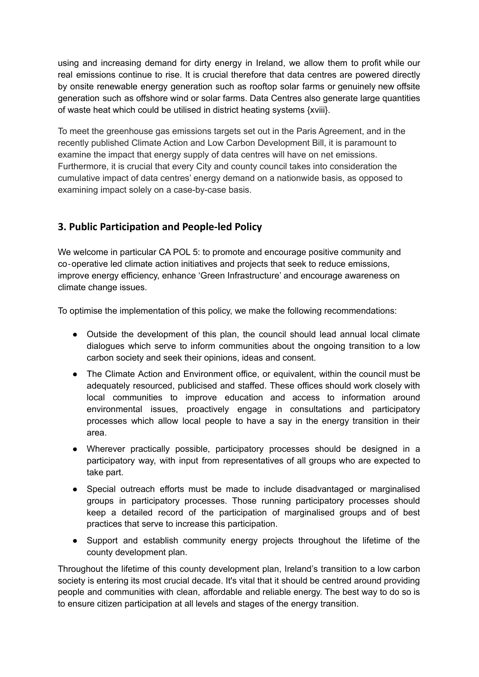using and increasing demand for dirty energy in Ireland, we allow them to profit while our real emissions continue to rise. It is crucial therefore that data centres are powered directly by onsite renewable energy generation such as rooftop solar farms or genuinely new offsite generation such as offshore wind or solar farms. Data Centres also generate large quantities of waste heat which could be utilised in district heating systems {xviii}.

To meet the greenhouse gas emissions targets set out in the Paris Agreement, and in the recently published Climate Action and Low Carbon Development Bill, it is paramount to examine the impact that energy supply of data centres will have on net emissions. Furthermore, it is crucial that every City and county council takes into consideration the cumulative impact of data centres' energy demand on a nationwide basis, as opposed to examining impact solely on a case-by-case basis.

# **3. Public Participation and People-led Policy**

We welcome in particular CA POL 5: to promote and encourage positive community and co‐operative led climate action initiatives and projects that seek to reduce emissions, improve energy efficiency, enhance 'Green Infrastructure' and encourage awareness on climate change issues.

To optimise the implementation of this policy, we make the following recommendations:

- Outside the development of this plan, the council should lead annual local climate dialogues which serve to inform communities about the ongoing transition to a low carbon society and seek their opinions, ideas and consent.
- The Climate Action and Environment office, or equivalent, within the council must be adequately resourced, publicised and staffed. These offices should work closely with local communities to improve education and access to information around environmental issues, proactively engage in consultations and participatory processes which allow local people to have a say in the energy transition in their area.
- Wherever practically possible, participatory processes should be designed in a participatory way, with input from representatives of all groups who are expected to take part.
- Special outreach efforts must be made to include disadvantaged or marginalised groups in participatory processes. Those running participatory processes should keep a detailed record of the participation of marginalised groups and of best practices that serve to increase this participation.
- Support and establish community energy projects throughout the lifetime of the county development plan.

Throughout the lifetime of this county development plan, Ireland's transition to a low carbon society is entering its most crucial decade. It's vital that it should be centred around providing people and communities with clean, affordable and reliable energy. The best way to do so is to ensure citizen participation at all levels and stages of the energy transition.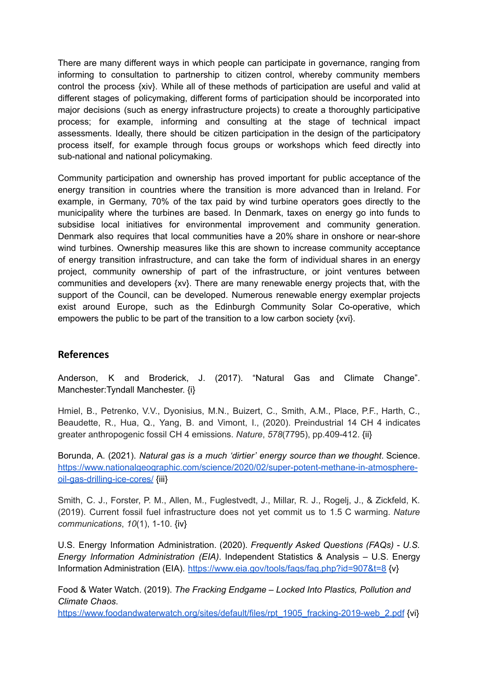There are many different ways in which people can participate in governance, ranging from informing to consultation to partnership to citizen control, whereby community members control the process {xiv}. While all of these methods of participation are useful and valid at different stages of policymaking, different forms of participation should be incorporated into major decisions (such as energy infrastructure projects) to create a thoroughly participative process; for example, informing and consulting at the stage of technical impact assessments. Ideally, there should be citizen participation in the design of the participatory process itself, for example through focus groups or workshops which feed directly into sub-national and national policymaking.

Community participation and ownership has proved important for public acceptance of the energy transition in countries where the transition is more advanced than in Ireland. For example, in Germany, 70% of the tax paid by wind turbine operators goes directly to the municipality where the turbines are based. In Denmark, taxes on energy go into funds to subsidise local initiatives for environmental improvement and community generation. Denmark also requires that local communities have a 20% share in onshore or near-shore wind turbines. Ownership measures like this are shown to increase community acceptance of energy transition infrastructure, and can take the form of individual shares in an energy project, community ownership of part of the infrastructure, or joint ventures between communities and developers {xv}. There are many renewable energy projects that, with the support of the Council, can be developed. Numerous renewable energy exemplar projects exist around Europe, such as the Edinburgh Community Solar Co-operative, which empowers the public to be part of the transition to a low carbon society {xvi}.

## **References**

Anderson, K and Broderick, J. (2017). "Natural Gas and Climate Change". Manchester:Tyndall Manchester. {i}

Hmiel, B., Petrenko, V.V., Dyonisius, M.N., Buizert, C., Smith, A.M., Place, P.F., Harth, C., Beaudette, R., Hua, Q., Yang, B. and Vimont, I., (2020). Preindustrial 14 CH 4 indicates greater anthropogenic fossil CH 4 emissions. *Nature*, *578*(7795), pp.409-412. {ii}

Borunda, A. (2021). *Natural gas is a much 'dirtier' energy source than we thought*. Science. [https://www.nationalgeographic.com/science/2020/02/super-potent-methane-in-atmosphere](https://www.nationalgeographic.com/science/2020/02/super-potent-methane-in-atmosphere-oil-gas-drilling-ice-cores/)[oil-gas-drilling-ice-cores/](https://www.nationalgeographic.com/science/2020/02/super-potent-methane-in-atmosphere-oil-gas-drilling-ice-cores/) {iii}

Smith, C. J., Forster, P. M., Allen, M., Fuglestvedt, J., Millar, R. J., Rogelj, J., & Zickfeld, K. (2019). Current fossil fuel infrastructure does not yet commit us to 1.5 C warming. *Nature communications*, *10*(1), 1-10. {iv}

U.S. Energy Information Administration. (2020). *Frequently Asked Questions (FAQs) - U.S. Energy Information Administration (EIA)*. Independent Statistics & Analysis – U.S. Energy Information Administration (EIA). <https://www.eia.gov/tools/faqs/faq.php?id=907&t=8> {v}

Food & Water Watch. (2019). *The Fracking Endgame – Locked Into Plastics, Pollution and Climate Chaos*.

[https://www.foodandwaterwatch.org/sites/default/files/rpt\\_1905\\_fracking-2019-web\\_2.pdf](https://www.foodandwaterwatch.org/sites/default/files/rpt_1905_fracking-2019-web_2.pdf) {vi}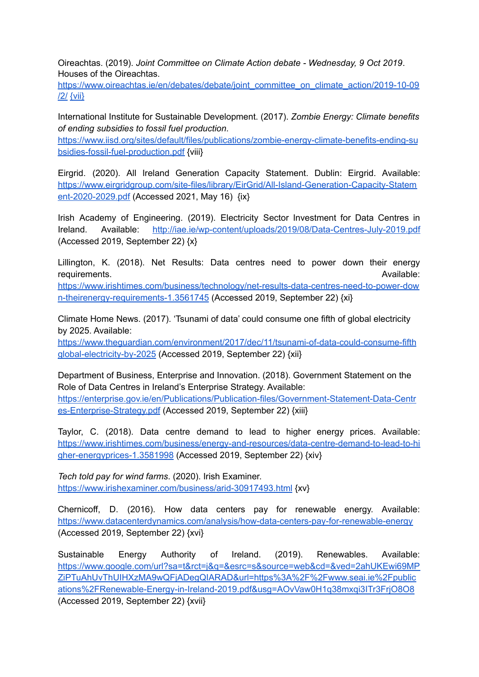Oireachtas. (2019). *Joint Committee on Climate Action debate - Wednesday, 9 Oct 2019*. Houses of the Oireachtas.

[https://www.oireachtas.ie/en/debates/debate/joint\\_committee\\_on\\_climate\\_action/2019-10-09](https://www.oireachtas.ie/en/debates/debate/joint_committee_on_climate_action/2019-10-09/2/) [/2/](https://www.oireachtas.ie/en/debates/debate/joint_committee_on_climate_action/2019-10-09/2/) [{vii}](https://www.oireachtas.ie/en/debates/debate/joint_committee_on_climate_action/2019-10-09/2/)

International Institute for Sustainable Development. (2017). *Zombie Energy: Climate benefits of ending subsidies to fossil fuel production*.

[https://www.iisd.org/sites/default/files/publications/zombie-energy-climate-benefits-ending-su](https://www.iisd.org/sites/default/files/publications/zombie-energy-climate-benefits-ending-subsidies-fossil-fuel-production.pdf) [bsidies-fossil-fuel-production.pdf](https://www.iisd.org/sites/default/files/publications/zombie-energy-climate-benefits-ending-subsidies-fossil-fuel-production.pdf) {viii}

Eirgrid. (2020). All Ireland Generation Capacity Statement. Dublin: Eirgrid. Available: [https://www.eirgridgroup.com/site-files/library/EirGrid/All-Island-Generation-Capacity-Statem](https://www.eirgridgroup.com/site-files/library/EirGrid/All-Island-Generation-Capacity-Statement-2020-2029.pdf) [ent-2020-2029.pdf](https://www.eirgridgroup.com/site-files/library/EirGrid/All-Island-Generation-Capacity-Statement-2020-2029.pdf) (Accessed 2021, May 16) [{ix}](https://www.oireachtas.ie/en/debates/debate/joint_committee_on_climate_action/2019-10-09/2/)

Irish Academy of Engineering. (2019). Electricity Sector Investment for Data Centres in Ireland. Available: <http://iae.ie/wp-content/uploads/2019/08/Data-Centres-July-2019.pdf> (Accessed 2019, September 22) {x}

Lillington, K. (2018). Net Results: Data centres need to power down their energy **requirements.** Available: [https://www.irishtimes.com/business/technology/net-results-data-centres-need-to-power-dow](https://www.irishtimes.com/business/technology/net-results-data-centres-need-to-power-down-theirenergy-requirements-1.3561745) [n-theirenergy-requirements-1.3561745](https://www.irishtimes.com/business/technology/net-results-data-centres-need-to-power-down-theirenergy-requirements-1.3561745) (Accessed 2019, September 22) {xi}

Climate Home News. (2017). 'Tsunami of data' could consume one fifth of global electricity by 2025. Available:

[https://www.theguardian.com/environment/2017/dec/11/tsunami-of-data-could-consume-fifth](https://www.theguardian.com/environment/2017/dec/11/tsunami-of-data-could-consume-fifthglobal-electricity-by-2025) [global-electricity-by-2025](https://www.theguardian.com/environment/2017/dec/11/tsunami-of-data-could-consume-fifthglobal-electricity-by-2025) (Accessed 2019, September 22) {xii}

Department of Business, Enterprise and Innovation. (2018). Government Statement on the Role of Data Centres in Ireland's Enterprise Strategy. Available: [https://enterprise.gov.ie/en/Publications/Publication-files/Government-Statement-Data-Centr](https://enterprise.gov.ie/en/Publications/Publication-files/Government-Statement-Data-Centres-Enterprise-Strategy.pdf) [es-Enterprise-Strategy.pdf](https://enterprise.gov.ie/en/Publications/Publication-files/Government-Statement-Data-Centres-Enterprise-Strategy.pdf) (Accessed 2019, September 22) {xiii}

Taylor, C. (2018). Data centre demand to lead to higher energy prices. Available: [https://www.irishtimes.com/business/energy-and-resources/data-centre-demand-to-lead-to-hi](https://www.irishtimes.com/business/energy-and-resources/data-centre-demand-to-lead-to-higher-energyprices-1.3581998) [gher-energyprices-1.3581998](https://www.irishtimes.com/business/energy-and-resources/data-centre-demand-to-lead-to-higher-energyprices-1.3581998) (Accessed 2019, September 22) {xiv}

*Tech told pay for wind farms*. (2020). Irish Examiner. <https://www.irishexaminer.com/business/arid-30917493.html> {xv}

Chernicoff, D. (2016). How data centers pay for renewable energy. Available: <https://www.datacenterdynamics.com/analysis/how-data-centers-pay-for-renewable-energy> (Accessed 2019, September 22) {xvi}

Sustainable Energy Authority of Ireland. (2019). Renewables. Available: [https://www.google.com/url?sa=t&rct=j&q=&esrc=s&source=web&cd=&ved=2ahUKEwi69MP](https://www.seai.ie/publications/Renewable-Energy-in-Ireland-2019.pdf) [ZiPTuAhUvThUIHXzMA9wQFjADegQIARAD&url=https%3A%2F%2Fwww.seai.ie%2Fpublic](https://www.seai.ie/publications/Renewable-Energy-in-Ireland-2019.pdf) [ations%2FRenewable-Energy-in-Ireland-2019.pdf&usg=AOvVaw0H1q38mxqi3ITr3FrjO8O8](https://www.seai.ie/publications/Renewable-Energy-in-Ireland-2019.pdf) (Accessed 2019, September 22) {xvii}